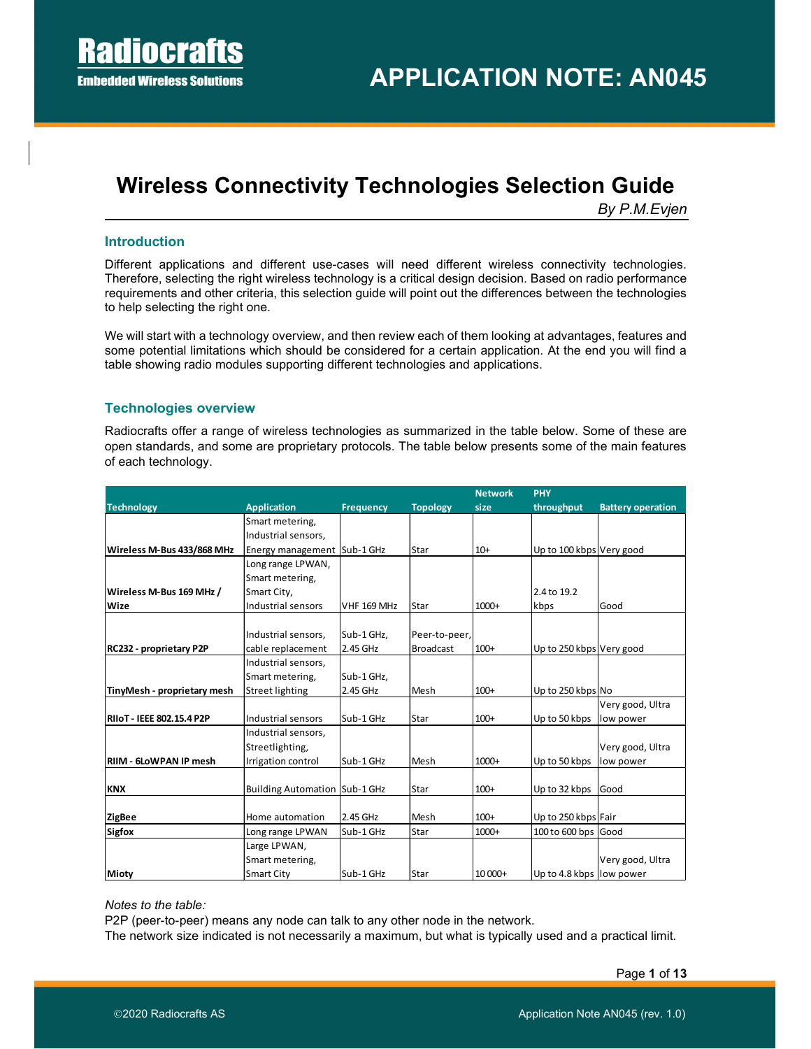# Wireless Connectivity Technologies Selection Guide

By P.M.Evjen

## Introduction

Different applications and different use-cases will need different wireless connectivity technologies. Therefore, selecting the right wireless technology is a critical design decision. Based on radio performance requirements and other criteria, this selection guide will point out the differences between the technologies to help selecting the right one.

We will start with a technology overview, and then review each of them looking at advantages, features and some potential limitations which should be considered for a certain application. At the end you will find a table showing radio modules supporting different technologies and applications.

# Technologies overview

Radiocrafts offer a range of wireless technologies as summarized in the table below. Some of these are open standards, and some are proprietary protocols. The table below presents some of the main features of each technology.

|                                  |                                      |                    |                  | <b>Network</b> | <b>PHY</b>               |                          |
|----------------------------------|--------------------------------------|--------------------|------------------|----------------|--------------------------|--------------------------|
| <b>Technology</b>                | <b>Application</b>                   | <b>Frequency</b>   | <b>Topology</b>  | size           | throughput               | <b>Battery operation</b> |
|                                  | Smart metering,                      |                    |                  |                |                          |                          |
|                                  | Industrial sensors,                  |                    |                  |                |                          |                          |
| Wireless M-Bus 433/868 MHz       | Energy management   Sub-1 GHz        |                    | Star             | $10+$          | Up to 100 kbps Very good |                          |
|                                  | Long range LPWAN,                    |                    |                  |                |                          |                          |
|                                  | Smart metering,                      |                    |                  |                |                          |                          |
| Wireless M-Bus 169 MHz /         | Smart City,                          |                    |                  |                | 2.4 to 19.2              |                          |
| <b>Wize</b>                      | Industrial sensors                   | <b>VHF 169 MHz</b> | Star             | 1000+          | kbps                     | Good                     |
|                                  |                                      |                    |                  |                |                          |                          |
|                                  | Industrial sensors,                  | Sub-1 GHz,         | Peer-to-peer,    |                |                          |                          |
| RC232 - proprietary P2P          | cable replacement                    | 2.45 GHz           | <b>Broadcast</b> | $100+$         | Up to 250 kbps Very good |                          |
|                                  | Industrial sensors,                  |                    |                  |                |                          |                          |
|                                  | Smart metering,                      | Sub-1 GHz,         |                  |                |                          |                          |
| TinyMesh - proprietary mesh      | Street lighting                      | 2.45 GHz           | Mesh             | $100+$         | Up to 250 kbps No        |                          |
|                                  |                                      |                    |                  |                |                          | Very good, Ultra         |
| <b>RIIOT - IEEE 802.15.4 P2P</b> | Industrial sensors                   | Sub-1 GHz          | Star             | $100+$         | Up to 50 kbps            | low power                |
|                                  | Industrial sensors,                  |                    |                  |                |                          |                          |
|                                  | Streetlighting,                      |                    |                  |                |                          | Very good, Ultra         |
| RIIM - 6LoWPAN IP mesh           | Irrigation control                   | Sub-1 GHz          | Mesh             | 1000+          | Up to 50 kbps            | low power                |
|                                  |                                      |                    |                  |                |                          |                          |
| <b>KNX</b>                       | <b>Building Automation Sub-1 GHz</b> |                    | Star             | $100+$         | Up to 32 kbps            | Good                     |
| <b>ZigBee</b>                    | Home automation                      | 2.45 GHz           | Mesh             | $100+$         | Up to 250 kbps Fair      |                          |
| Sigfox                           | Long range LPWAN                     | Sub-1 GHz          | Star             | 1000+          | 100 to 600 bps Good      |                          |
|                                  | Large LPWAN,                         |                    |                  |                |                          |                          |
|                                  | Smart metering,                      |                    |                  |                |                          | Very good, Ultra         |
| <b>Mioty</b>                     | <b>Smart City</b>                    | Sub-1 GHz          | Star             | 10 000+        | Up to 4.8 kbps low power |                          |

Notes to the table:

P2P (peer-to-peer) means any node can talk to any other node in the network.

The network size indicated is not necessarily a maximum, but what is typically used and a practical limit.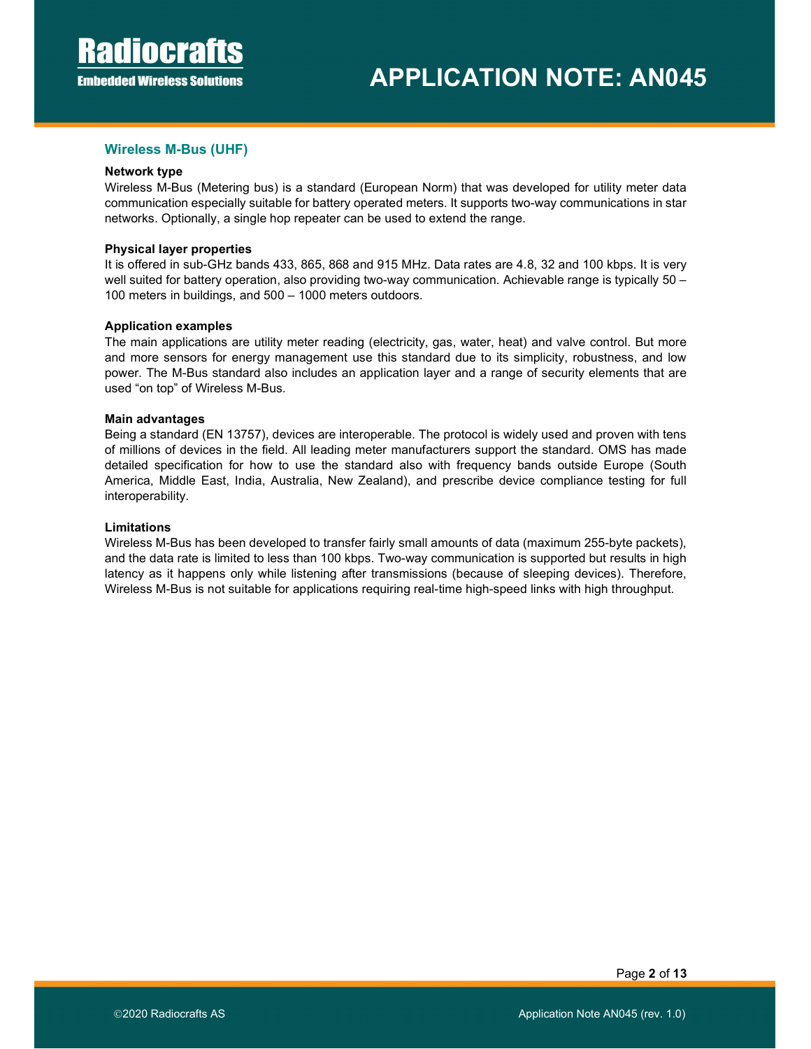## Wireless M-Bus (UHF)

#### Network type

Wireless M-Bus (Metering bus) is a standard (European Norm) that was developed for utility meter data communication especially suitable for battery operated meters. It supports two-way communications in star networks. Optionally, a single hop repeater can be used to extend the range.

#### Physical layer properties

It is offered in sub-GHz bands 433, 865, 868 and 915 MHz. Data rates are 4.8, 32 and 100 kbps. It is very well suited for battery operation, also providing two-way communication. Achievable range is typically 50 -100 meters in buildings, and 500 – 1000 meters outdoors.

#### Application examples

The main applications are utility meter reading (electricity, gas, water, heat) and valve control. But more and more sensors for energy management use this standard due to its simplicity, robustness, and low power. The M-Bus standard also includes an application layer and a range of security elements that are used "on top" of Wireless M-Bus.

#### Main advantages

Being a standard (EN 13757), devices are interoperable. The protocol is widely used and proven with tens of millions of devices in the field. All leading meter manufacturers support the standard. OMS has made detailed specification for how to use the standard also with frequency bands outside Europe (South America, Middle East, India, Australia, New Zealand), and prescribe device compliance testing for full interoperability.

#### Limitations

Wireless M-Bus has been developed to transfer fairly small amounts of data (maximum 255-byte packets), and the data rate is limited to less than 100 kbps. Two-way communication is supported but results in high latency as it happens only while listening after transmissions (because of sleeping devices). Therefore, Wireless M-Bus is not suitable for applications requiring real-time high-speed links with high throughput.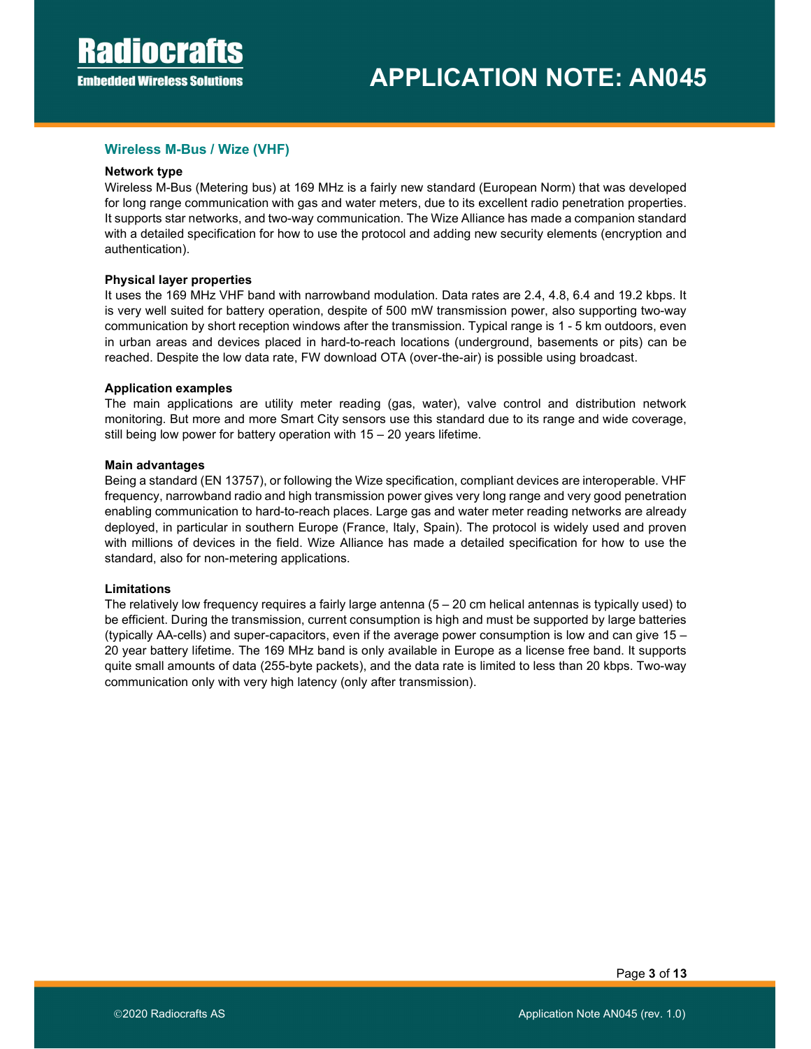## Wireless M-Bus / Wize (VHF)

#### Network type

Wireless M-Bus (Metering bus) at 169 MHz is a fairly new standard (European Norm) that was developed for long range communication with gas and water meters, due to its excellent radio penetration properties. It supports star networks, and two-way communication. The Wize Alliance has made a companion standard with a detailed specification for how to use the protocol and adding new security elements (encryption and authentication).

## Physical layer properties

It uses the 169 MHz VHF band with narrowband modulation. Data rates are 2.4, 4.8, 6.4 and 19.2 kbps. It is very well suited for battery operation, despite of 500 mW transmission power, also supporting two-way communication by short reception windows after the transmission. Typical range is 1 - 5 km outdoors, even in urban areas and devices placed in hard-to-reach locations (underground, basements or pits) can be reached. Despite the low data rate, FW download OTA (over-the-air) is possible using broadcast.

#### Application examples

The main applications are utility meter reading (gas, water), valve control and distribution network monitoring. But more and more Smart City sensors use this standard due to its range and wide coverage, still being low power for battery operation with 15 – 20 years lifetime.

#### Main advantages

Being a standard (EN 13757), or following the Wize specification, compliant devices are interoperable. VHF frequency, narrowband radio and high transmission power gives very long range and very good penetration enabling communication to hard-to-reach places. Large gas and water meter reading networks are already deployed, in particular in southern Europe (France, Italy, Spain). The protocol is widely used and proven with millions of devices in the field. Wize Alliance has made a detailed specification for how to use the standard, also for non-metering applications.

## Limitations

The relatively low frequency requires a fairly large antenna  $(5 - 20 \text{ cm}$  helical antennas is typically used) to be efficient. During the transmission, current consumption is high and must be supported by large batteries (typically AA-cells) and super-capacitors, even if the average power consumption is low and can give 15 – 20 year battery lifetime. The 169 MHz band is only available in Europe as a license free band. It supports quite small amounts of data (255-byte packets), and the data rate is limited to less than 20 kbps. Two-way communication only with very high latency (only after transmission).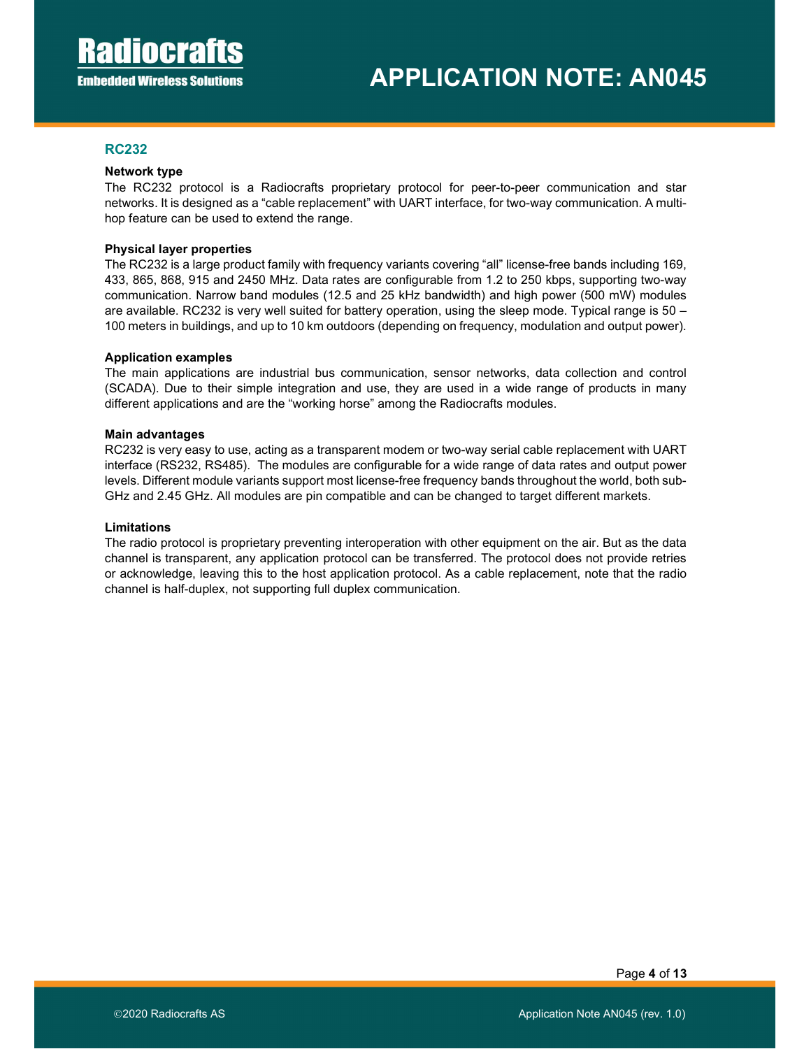## RC232

#### Network type

The RC232 protocol is a Radiocrafts proprietary protocol for peer-to-peer communication and star networks. It is designed as a "cable replacement" with UART interface, for two-way communication. A multihop feature can be used to extend the range.

#### Physical layer properties

The RC232 is a large product family with frequency variants covering "all" license-free bands including 169, 433, 865, 868, 915 and 2450 MHz. Data rates are configurable from 1.2 to 250 kbps, supporting two-way communication. Narrow band modules (12.5 and 25 kHz bandwidth) and high power (500 mW) modules are available. RC232 is very well suited for battery operation, using the sleep mode. Typical range is 50 – 100 meters in buildings, and up to 10 km outdoors (depending on frequency, modulation and output power).

#### Application examples

The main applications are industrial bus communication, sensor networks, data collection and control (SCADA). Due to their simple integration and use, they are used in a wide range of products in many different applications and are the "working horse" among the Radiocrafts modules.

#### Main advantages

RC232 is very easy to use, acting as a transparent modem or two-way serial cable replacement with UART interface (RS232, RS485). The modules are configurable for a wide range of data rates and output power levels. Different module variants support most license-free frequency bands throughout the world, both sub-GHz and 2.45 GHz. All modules are pin compatible and can be changed to target different markets.

#### Limitations

The radio protocol is proprietary preventing interoperation with other equipment on the air. But as the data channel is transparent, any application protocol can be transferred. The protocol does not provide retries or acknowledge, leaving this to the host application protocol. As a cable replacement, note that the radio channel is half-duplex, not supporting full duplex communication.

Page 4 of 13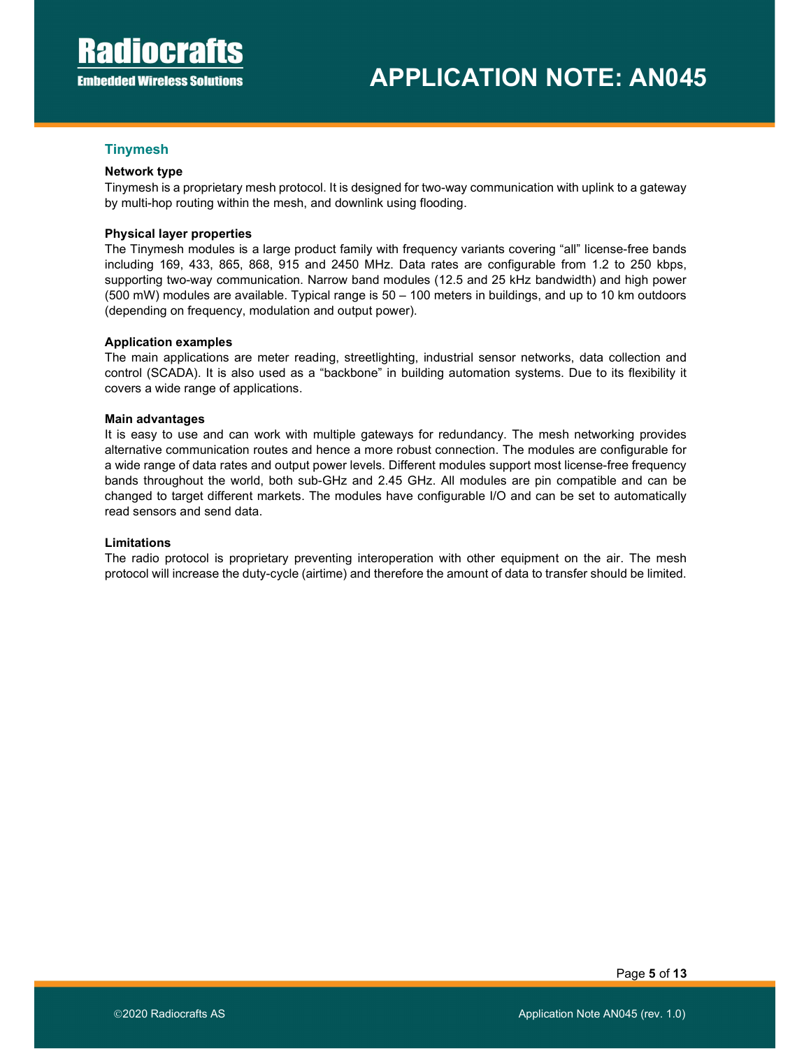## **Tinymesh**

## Network type

Tinymesh is a proprietary mesh protocol. It is designed for two-way communication with uplink to a gateway by multi-hop routing within the mesh, and downlink using flooding.

#### Physical layer properties

The Tinymesh modules is a large product family with frequency variants covering "all" license-free bands including 169, 433, 865, 868, 915 and 2450 MHz. Data rates are configurable from 1.2 to 250 kbps, supporting two-way communication. Narrow band modules (12.5 and 25 kHz bandwidth) and high power (500 mW) modules are available. Typical range is 50 – 100 meters in buildings, and up to 10 km outdoors (depending on frequency, modulation and output power).

#### Application examples

The main applications are meter reading, streetlighting, industrial sensor networks, data collection and control (SCADA). It is also used as a "backbone" in building automation systems. Due to its flexibility it covers a wide range of applications.

#### Main advantages

It is easy to use and can work with multiple gateways for redundancy. The mesh networking provides alternative communication routes and hence a more robust connection. The modules are configurable for a wide range of data rates and output power levels. Different modules support most license-free frequency bands throughout the world, both sub-GHz and 2.45 GHz. All modules are pin compatible and can be changed to target different markets. The modules have configurable I/O and can be set to automatically read sensors and send data.

#### Limitations

The radio protocol is proprietary preventing interoperation with other equipment on the air. The mesh protocol will increase the duty-cycle (airtime) and therefore the amount of data to transfer should be limited.

Page 5 of 13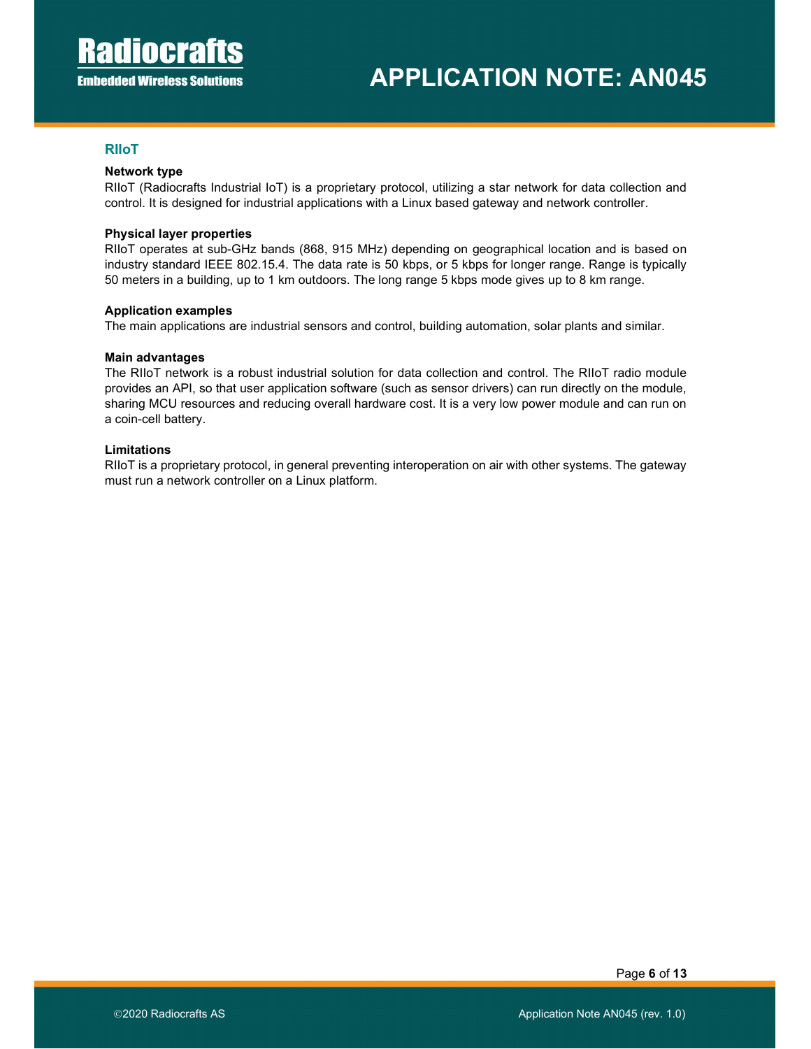## RIIoT

#### Network type

RIIoT (Radiocrafts Industrial IoT) is a proprietary protocol, utilizing a star network for data collection and control. It is designed for industrial applications with a Linux based gateway and network controller.

#### Physical layer properties

RIIoT operates at sub-GHz bands (868, 915 MHz) depending on geographical location and is based on industry standard IEEE 802.15.4. The data rate is 50 kbps, or 5 kbps for longer range. Range is typically 50 meters in a building, up to 1 km outdoors. The long range 5 kbps mode gives up to 8 km range.

#### Application examples

The main applications are industrial sensors and control, building automation, solar plants and similar.

#### Main advantages

The RIIoT network is a robust industrial solution for data collection and control. The RIIoT radio module provides an API, so that user application software (such as sensor drivers) can run directly on the module, sharing MCU resources and reducing overall hardware cost. It is a very low power module and can run on a coin-cell battery.

#### Limitations

RIIoT is a proprietary protocol, in general preventing interoperation on air with other systems. The gateway must run a network controller on a Linux platform.

Page 6 of 13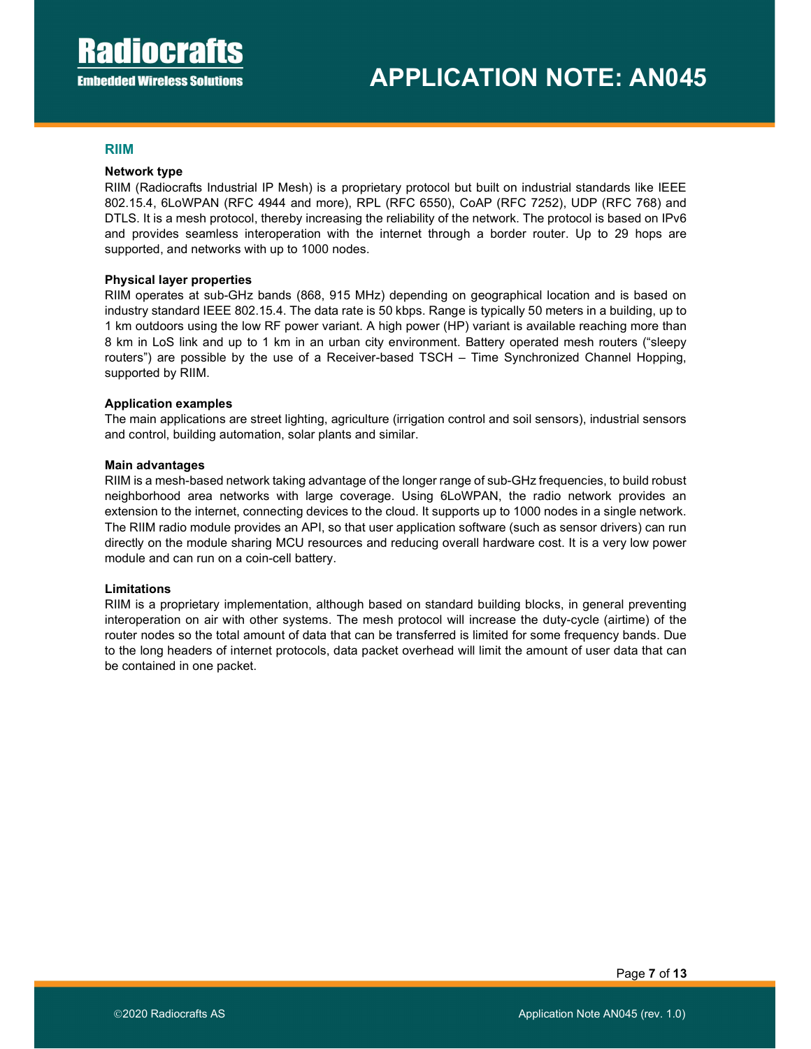## RIIM

#### Network type

RIIM (Radiocrafts Industrial IP Mesh) is a proprietary protocol but built on industrial standards like IEEE 802.15.4, 6LoWPAN (RFC 4944 and more), RPL (RFC 6550), CoAP (RFC 7252), UDP (RFC 768) and DTLS. It is a mesh protocol, thereby increasing the reliability of the network. The protocol is based on IPv6 and provides seamless interoperation with the internet through a border router. Up to 29 hops are supported, and networks with up to 1000 nodes.

#### Physical layer properties

RIIM operates at sub-GHz bands (868, 915 MHz) depending on geographical location and is based on industry standard IEEE 802.15.4. The data rate is 50 kbps. Range is typically 50 meters in a building, up to 1 km outdoors using the low RF power variant. A high power (HP) variant is available reaching more than 8 km in LoS link and up to 1 km in an urban city environment. Battery operated mesh routers ("sleepy routers") are possible by the use of a Receiver-based TSCH – Time Synchronized Channel Hopping, supported by RIIM.

#### Application examples

The main applications are street lighting, agriculture (irrigation control and soil sensors), industrial sensors and control, building automation, solar plants and similar.

#### Main advantages

RIIM is a mesh-based network taking advantage of the longer range of sub-GHz frequencies, to build robust neighborhood area networks with large coverage. Using 6LoWPAN, the radio network provides an extension to the internet, connecting devices to the cloud. It supports up to 1000 nodes in a single network. The RIIM radio module provides an API, so that user application software (such as sensor drivers) can run directly on the module sharing MCU resources and reducing overall hardware cost. It is a very low power module and can run on a coin-cell battery.

#### Limitations

RIIM is a proprietary implementation, although based on standard building blocks, in general preventing interoperation on air with other systems. The mesh protocol will increase the duty-cycle (airtime) of the router nodes so the total amount of data that can be transferred is limited for some frequency bands. Due to the long headers of internet protocols, data packet overhead will limit the amount of user data that can be contained in one packet.

Page 7 of 13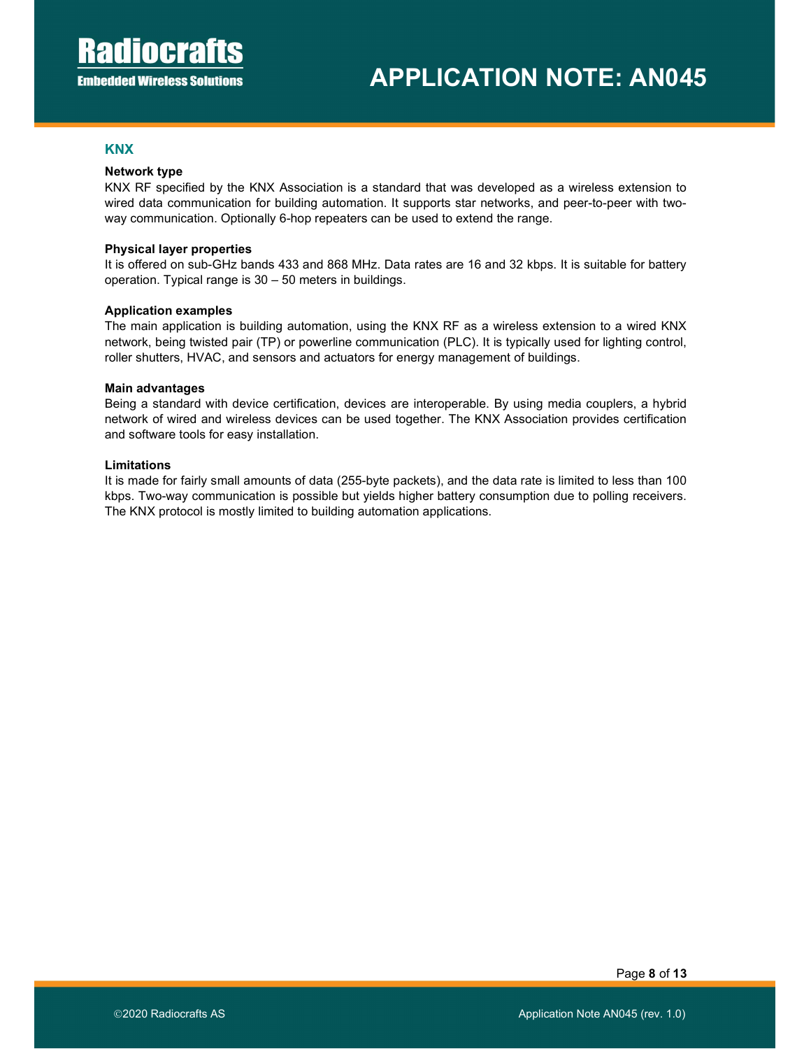## **KNX**

#### Network type

KNX RF specified by the KNX Association is a standard that was developed as a wireless extension to wired data communication for building automation. It supports star networks, and peer-to-peer with twoway communication. Optionally 6-hop repeaters can be used to extend the range.

#### Physical layer properties

It is offered on sub-GHz bands 433 and 868 MHz. Data rates are 16 and 32 kbps. It is suitable for battery operation. Typical range is 30 – 50 meters in buildings.

#### Application examples

The main application is building automation, using the KNX RF as a wireless extension to a wired KNX network, being twisted pair (TP) or powerline communication (PLC). It is typically used for lighting control, roller shutters, HVAC, and sensors and actuators for energy management of buildings.

#### Main advantages

Being a standard with device certification, devices are interoperable. By using media couplers, a hybrid network of wired and wireless devices can be used together. The KNX Association provides certification and software tools for easy installation.

#### Limitations

It is made for fairly small amounts of data (255-byte packets), and the data rate is limited to less than 100 kbps. Two-way communication is possible but yields higher battery consumption due to polling receivers. The KNX protocol is mostly limited to building automation applications.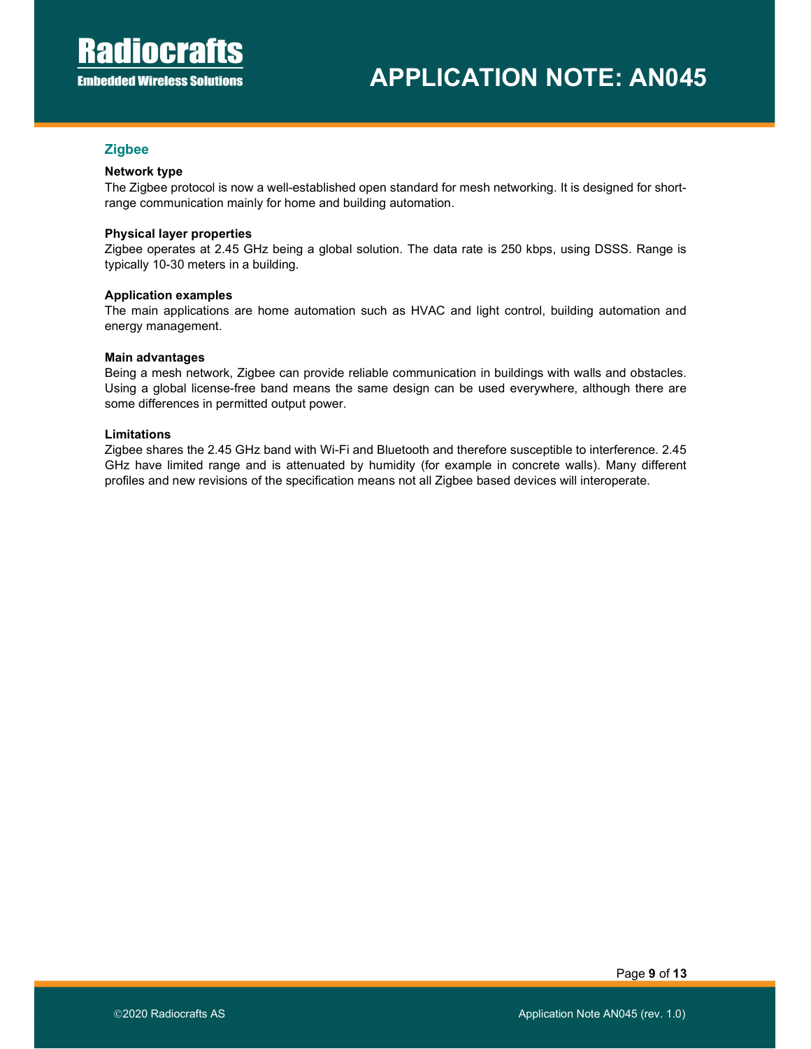## **Zigbee**

#### Network type

The Zigbee protocol is now a well-established open standard for mesh networking. It is designed for shortrange communication mainly for home and building automation.

#### Physical layer properties

Zigbee operates at 2.45 GHz being a global solution. The data rate is 250 kbps, using DSSS. Range is typically 10-30 meters in a building.

#### Application examples

The main applications are home automation such as HVAC and light control, building automation and energy management.

#### Main advantages

Being a mesh network, Zigbee can provide reliable communication in buildings with walls and obstacles. Using a global license-free band means the same design can be used everywhere, although there are some differences in permitted output power.

#### Limitations

Zigbee shares the 2.45 GHz band with Wi-Fi and Bluetooth and therefore susceptible to interference. 2.45 GHz have limited range and is attenuated by humidity (for example in concrete walls). Many different profiles and new revisions of the specification means not all Zigbee based devices will interoperate.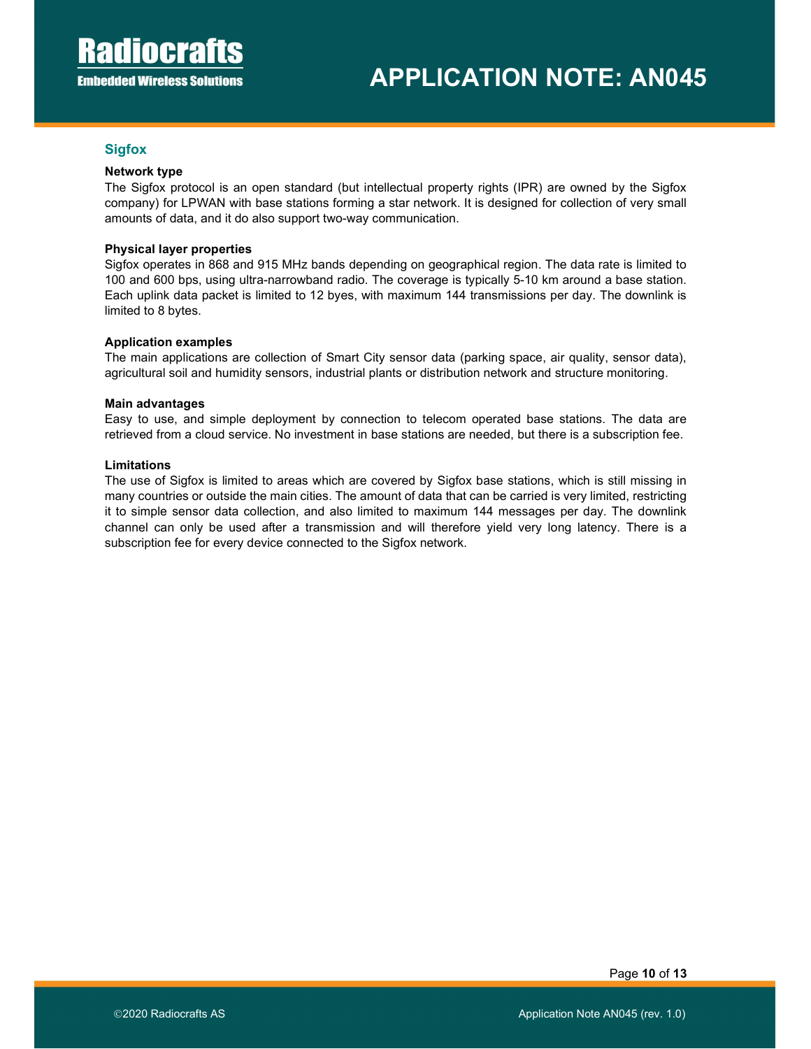## **Sigfox**

#### Network type

The Sigfox protocol is an open standard (but intellectual property rights (IPR) are owned by the Sigfox company) for LPWAN with base stations forming a star network. It is designed for collection of very small amounts of data, and it do also support two-way communication.

#### Physical layer properties

Sigfox operates in 868 and 915 MHz bands depending on geographical region. The data rate is limited to 100 and 600 bps, using ultra-narrowband radio. The coverage is typically 5-10 km around a base station. Each uplink data packet is limited to 12 byes, with maximum 144 transmissions per day. The downlink is limited to 8 bytes.

#### Application examples

The main applications are collection of Smart City sensor data (parking space, air quality, sensor data), agricultural soil and humidity sensors, industrial plants or distribution network and structure monitoring.

#### Main advantages

Easy to use, and simple deployment by connection to telecom operated base stations. The data are retrieved from a cloud service. No investment in base stations are needed, but there is a subscription fee.

#### Limitations

The use of Sigfox is limited to areas which are covered by Sigfox base stations, which is still missing in many countries or outside the main cities. The amount of data that can be carried is very limited, restricting it to simple sensor data collection, and also limited to maximum 144 messages per day. The downlink channel can only be used after a transmission and will therefore yield very long latency. There is a subscription fee for every device connected to the Sigfox network.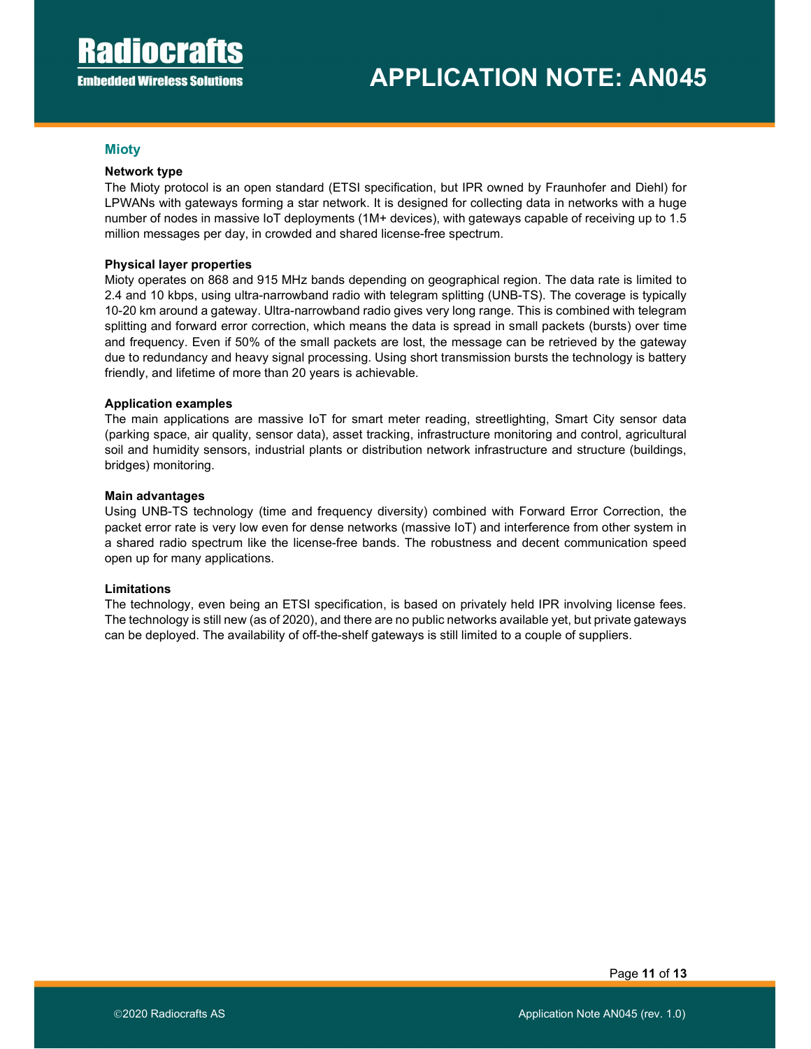## **Mioty**

#### Network type

The Mioty protocol is an open standard (ETSI specification, but IPR owned by Fraunhofer and Diehl) for LPWANs with gateways forming a star network. It is designed for collecting data in networks with a huge number of nodes in massive IoT deployments (1M+ devices), with gateways capable of receiving up to 1.5 million messages per day, in crowded and shared license-free spectrum.

#### Physical layer properties

Mioty operates on 868 and 915 MHz bands depending on geographical region. The data rate is limited to 2.4 and 10 kbps, using ultra-narrowband radio with telegram splitting (UNB-TS). The coverage is typically 10-20 km around a gateway. Ultra-narrowband radio gives very long range. This is combined with telegram splitting and forward error correction, which means the data is spread in small packets (bursts) over time and frequency. Even if 50% of the small packets are lost, the message can be retrieved by the gateway due to redundancy and heavy signal processing. Using short transmission bursts the technology is battery friendly, and lifetime of more than 20 years is achievable.

#### Application examples

The main applications are massive IoT for smart meter reading, streetlighting, Smart City sensor data (parking space, air quality, sensor data), asset tracking, infrastructure monitoring and control, agricultural soil and humidity sensors, industrial plants or distribution network infrastructure and structure (buildings, bridges) monitoring.

#### Main advantages

Using UNB-TS technology (time and frequency diversity) combined with Forward Error Correction, the packet error rate is very low even for dense networks (massive IoT) and interference from other system in a shared radio spectrum like the license-free bands. The robustness and decent communication speed open up for many applications.

## Limitations

The technology, even being an ETSI specification, is based on privately held IPR involving license fees. The technology is still new (as of 2020), and there are no public networks available yet, but private gateways can be deployed. The availability of off-the-shelf gateways is still limited to a couple of suppliers.

Page 11 of 13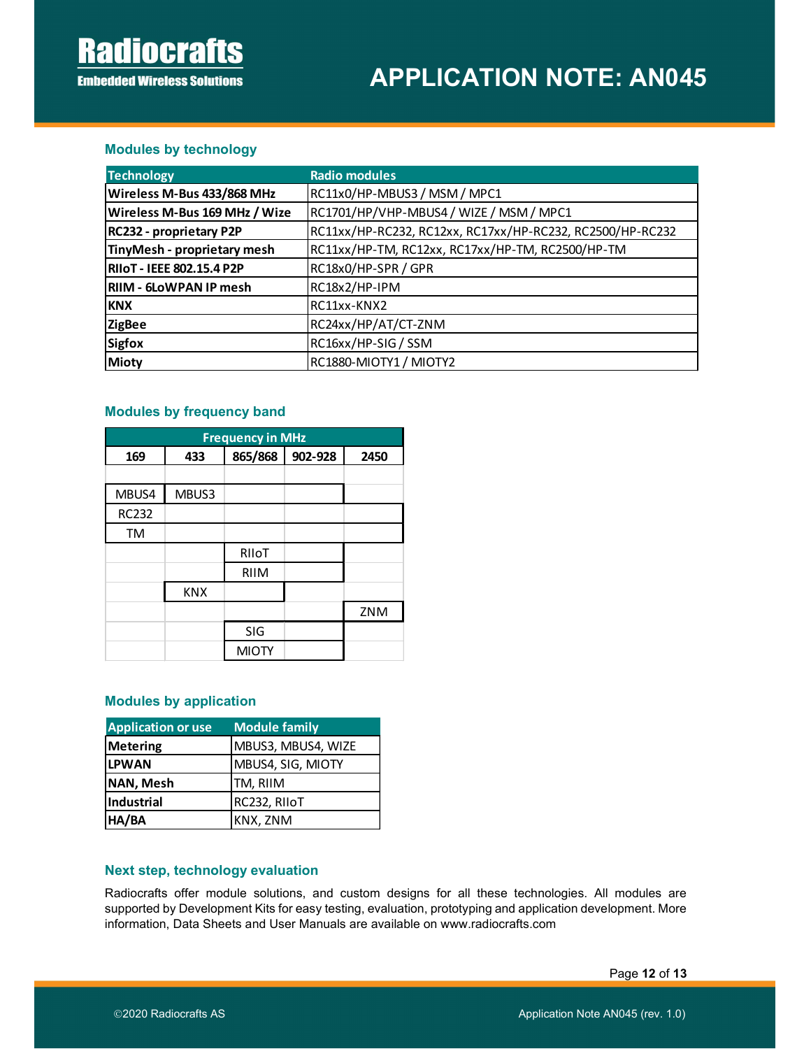# **Radiocrafts Embedded Wireless Solutions**

# APPLICATION NOTE: AN045

# Modules by technology

| <b>Modules by technology</b>            |       |                                    |         |                                                  |                                                           |  |  |  |
|-----------------------------------------|-------|------------------------------------|---------|--------------------------------------------------|-----------------------------------------------------------|--|--|--|
| <b>Technology</b>                       |       |                                    |         | <b>Radio modules</b>                             |                                                           |  |  |  |
| Wireless M-Bus 433/868 MHz              |       |                                    |         |                                                  | RC11x0/HP-MBUS3 / MSM / MPC1                              |  |  |  |
| Wireless M-Bus 169 MHz / Wize           |       |                                    |         |                                                  | RC1701/HP/VHP-MBUS4 / WIZE / MSM / MPC1                   |  |  |  |
| RC232 - proprietary P2P                 |       |                                    |         |                                                  | RC11xx/HP-RC232, RC12xx, RC17xx/HP-RC232, RC2500/HP-RC232 |  |  |  |
| TinyMesh - proprietary mesh             |       |                                    |         | RC11xx/HP-TM, RC12xx, RC17xx/HP-TM, RC2500/HP-TM |                                                           |  |  |  |
| <b>RIIOT - IEEE 802.15.4 P2P</b>        |       |                                    |         | RC18x0/HP-SPR / GPR                              |                                                           |  |  |  |
| <b>RIIM - 6LOWPAN IP mesh</b>           |       |                                    |         | RC18x2/HP-IPM                                    |                                                           |  |  |  |
| <b>KNX</b><br>RC11xx-KNX2               |       |                                    |         |                                                  |                                                           |  |  |  |
| <b>ZigBee</b>                           |       |                                    |         |                                                  | RC24xx/HP/AT/CT-ZNM                                       |  |  |  |
| <b>Sigfox</b><br>RC16xx/HP-SIG / SSM    |       |                                    |         |                                                  |                                                           |  |  |  |
| <b>Mioty</b><br>RC1880-MIOTY1 / MIOTY2  |       |                                    |         |                                                  |                                                           |  |  |  |
| <b>Modules by frequency band</b><br>169 | 433   | <b>Frequency in MHz</b><br>865/868 | 902-928 | 2450                                             |                                                           |  |  |  |
|                                         |       |                                    |         |                                                  |                                                           |  |  |  |
| MBUS4                                   | MBUS3 |                                    |         |                                                  |                                                           |  |  |  |
| <b>RC232</b>                            |       |                                    |         |                                                  |                                                           |  |  |  |
| TM                                      |       |                                    |         |                                                  |                                                           |  |  |  |
|                                         |       | RIIoT                              |         |                                                  |                                                           |  |  |  |
|                                         |       | <b>RIIM</b>                        |         |                                                  |                                                           |  |  |  |
|                                         | KNY   |                                    |         |                                                  |                                                           |  |  |  |

## Modules by frequency band

|                                       |                               | <b>Modules by frequency band</b> |         |      |
|---------------------------------------|-------------------------------|----------------------------------|---------|------|
|                                       |                               | <b>Frequency in MHz</b>          |         |      |
| 169                                   | 433                           | 865/868                          | 902-928 | 2450 |
| MBUS4                                 | MBUS3                         |                                  |         |      |
| <b>RC232</b>                          |                               |                                  |         |      |
| TM                                    |                               |                                  |         |      |
|                                       |                               | RIIoT                            |         |      |
|                                       |                               | <b>RIIM</b>                      |         |      |
|                                       | <b>KNX</b>                    |                                  |         |      |
|                                       |                               |                                  |         | ZNM  |
|                                       |                               | SIG                              |         |      |
|                                       |                               | <b>MIOTY</b>                     |         |      |
|                                       | <b>Modules by application</b> |                                  |         |      |
| <b>Application or use</b>             |                               | <b>Module family</b>             |         |      |
| <b>Metering</b><br>MBUS3, MBUS4, WIZE |                               |                                  |         |      |
| <b>LPWAN</b><br>MBUS4, SIG, MIOTY     |                               |                                  |         |      |
|                                       | NAN, Mesh<br>TM, RIIM         |                                  |         |      |
| Industrial                            | RC232, RIIoT                  |                                  |         |      |
| HA/BA                                 |                               | KNX, ZNM                         |         |      |

# Modules by application

| <b>Application or use</b> | Module family      |
|---------------------------|--------------------|
| <b>Metering</b>           | MBUS3, MBUS4, WIZE |
| <b>LPWAN</b>              | MBUS4, SIG, MIOTY  |
| <b>NAN, Mesh</b>          | TM, RIIM           |
| Industrial                | RC232, RIIoT       |
| HA/BA                     | KNX, ZNM           |

# Next step, technology evaluation

Radiocrafts offer module solutions, and custom designs for all these technologies. All modules are supported by Development Kits for easy testing, evaluation, prototyping and application development. More information, Data Sheets and User Manuals are available on www.radiocrafts.com

Page 12 of 13